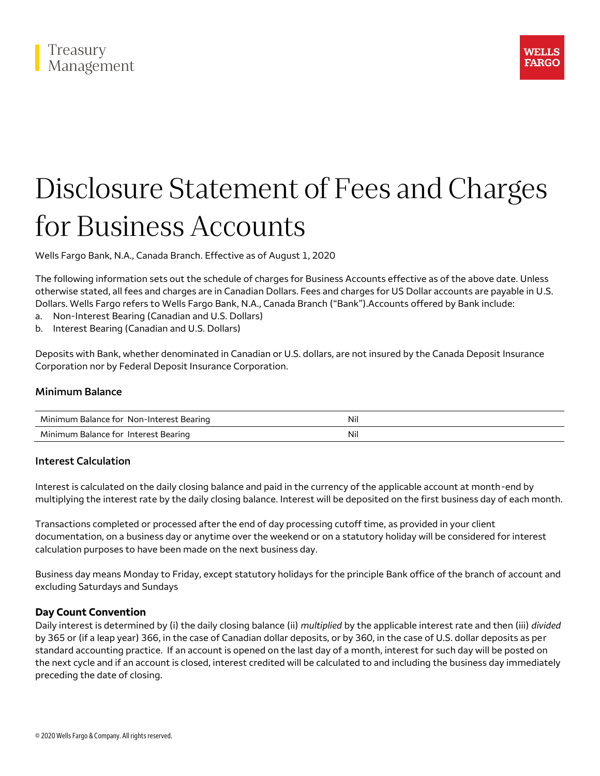



# Disclosure Statement of Fees and Charges for Business Accounts

Wells Fargo Bank, N.A., Canada Branch. Effective as of August 1, 2020

The following information sets out the schedule of charges for Business Accounts effective as of the above date. Unless otherwise stated, all fees and charges are in Canadian Dollars. Fees and charges for US Dollar accounts are payable in U.S. Dollars. Wells Fargo refers to Wells Fargo Bank, N.A., Canada Branch ("Bank").Accounts offered by Bank include:

- a. Non-Interest Bearing (Canadian and U.S. Dollars)
- b. Interest Bearing (Canadian and U.S. Dollars)

Deposits with Bank, whether denominated in Canadian or U.S. dollars, are not insured by the Canada Deposit Insurance Corporation nor by Federal Deposit Insurance Corporation.

## **Minimum Balance**

| Minimum Balance for Non-Interest Bearing     | Ni |
|----------------------------------------------|----|
| Minimum Balance for<br>Interest<br>: Bearing | Ni |

## **Interest Calculation**

Interest is calculated on the daily closing balance and paid in the currency of the applicable account at month-end by multiplying the interest rate by the daily closing balance. Interest will be deposited on the first business day of each month.

Transactions completed or processed after the end of day processing cutoff time, as provided in your client documentation, on a business day or anytime over the weekend or on a statutory holiday will be considered for interest calculation purposes to have been made on the next business day.

Business day means Monday to Friday, except statutory holidays for the principle Bank office of the branch of account and excluding Saturdays and Sundays

#### **Day Count Convention**

Daily interest is determined by (i) the daily closing balance (ii) *multiplied* by the applicable interest rate and then (iii) *divided* by 365 or (if a leap year) 366, in the case of Canadian dollar deposits, or by 360, in the case of U.S. dollar deposits as per standard accounting practice. If an account is opened on the last day of a month, interest for such day will be posted on the next cycle and if an account is closed, interest credited will be calculated to and including the business day immediately preceding the date of closing.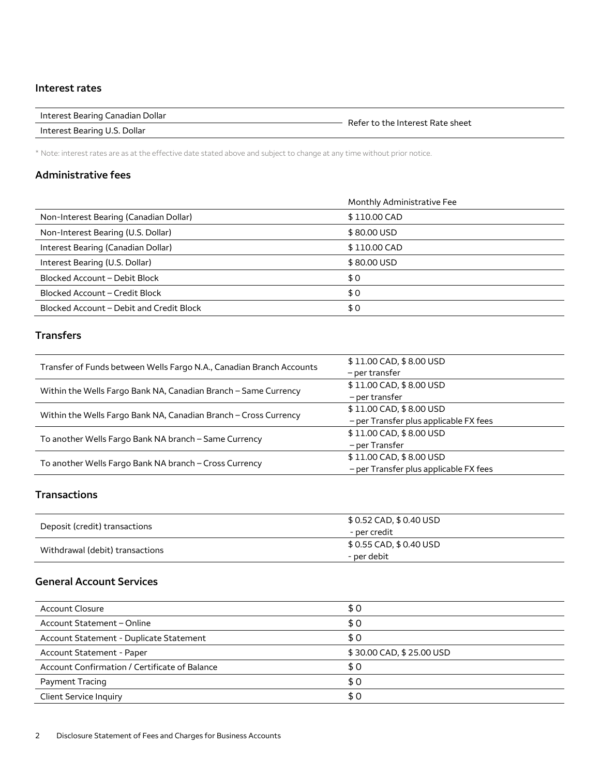#### **Interest rates**

| Interest Bearing Canadian Dollar | Pefer to the |
|----------------------------------|--------------|
|                                  |              |

Interest Bearing U.S. Dollar

Refer to the Interest Rate sheet

\* Note: interest rates are as at the effective date stated above and subject to change at any time without prior notice.

## **Administrative fees**

|                                          | Monthly Administrative Fee |
|------------------------------------------|----------------------------|
| Non-Interest Bearing (Canadian Dollar)   | \$110.00 CAD               |
| Non-Interest Bearing (U.S. Dollar)       | \$80,00 USD                |
| Interest Bearing (Canadian Dollar)       | \$110.00 CAD               |
| Interest Bearing (U.S. Dollar)           | \$80,00 USD                |
| Blocked Account - Debit Block            | \$0                        |
| Blocked Account - Credit Block           | \$0                        |
| Blocked Account – Debit and Credit Block | \$0                        |

# **Transfers**

|                                                                      | \$11.00 CAD, \$8.00 USD                |
|----------------------------------------------------------------------|----------------------------------------|
| Transfer of Funds between Wells Fargo N.A., Canadian Branch Accounts | - per transfer                         |
| Within the Wells Fargo Bank NA, Canadian Branch - Same Currency      | \$11.00 CAD, \$8.00 USD                |
|                                                                      | - per transfer                         |
| Within the Wells Fargo Bank NA, Canadian Branch - Cross Currency     | \$11.00 CAD, \$8.00 USD                |
|                                                                      | - per Transfer plus applicable FX fees |
| To another Wells Fargo Bank NA branch - Same Currency                | \$11.00 CAD, \$8.00 USD                |
|                                                                      | – per Transfer                         |
| To another Wells Fargo Bank NA branch - Cross Currency               | \$11.00 CAD, \$8.00 USD                |
|                                                                      | - per Transfer plus applicable FX fees |

## **Transactions**

| Deposit (credit) transactions   | \$ 0.52 CAD, \$ 0.40 USD |
|---------------------------------|--------------------------|
|                                 | - per credit             |
|                                 | \$ 0.55 CAD, \$ 0.40 USD |
| Withdrawal (debit) transactions | - per debit              |

## **General Account Services**

| <b>Account Closure</b><br>\$0<br>\$0<br>Account Statement - Online<br>\$0<br>Account Statement - Duplicate Statement |  |
|----------------------------------------------------------------------------------------------------------------------|--|
|                                                                                                                      |  |
|                                                                                                                      |  |
|                                                                                                                      |  |
| \$30.00 CAD, \$25.00 USD<br>Account Statement - Paper                                                                |  |
| Account Confirmation / Certificate of Balance<br>\$0                                                                 |  |
| \$0<br>Payment Tracing                                                                                               |  |
| \$0<br><b>Client Service Inquiry</b>                                                                                 |  |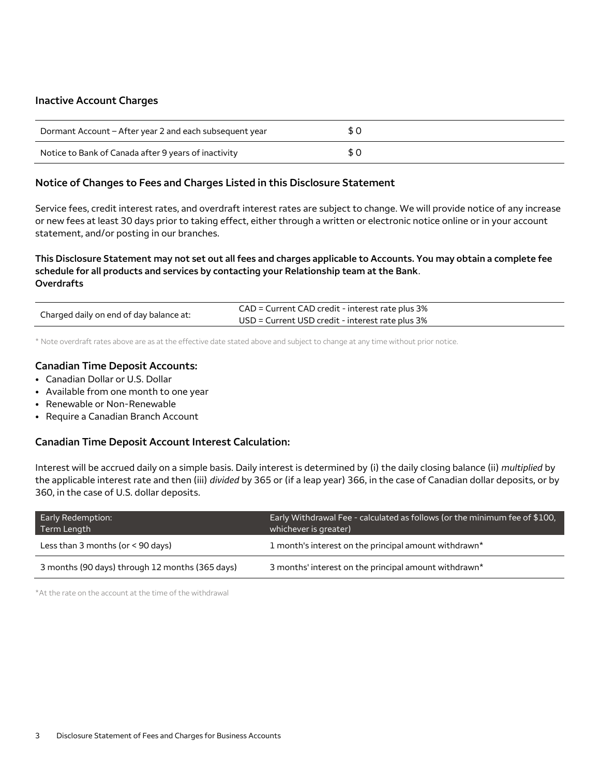#### **Inactive Account Charges**

| Dormant Account – After year 2 and each subsequent year |  |
|---------------------------------------------------------|--|
| Notice to Bank of Canada after 9 years of inactivity    |  |

## **Notice of Changes to Fees and Charges Listed in this Disclosure Statement**

Service fees, credit interest rates, and overdraft interest rates are subject to change. We will provide notice of any increase or new fees at least 30 days prior to taking effect, either through a written or electronic notice online or in your account statement, and/or posting in our branches.

## **This Disclosure Statement may not set out all fees and charges applicable to Accounts. You may obtain a complete fee schedule for all products and services by contacting your Relationship team at the Bank**. **Overdrafts**

|                                         | CAD = Current CAD credit - interest rate plus 3% |
|-----------------------------------------|--------------------------------------------------|
| Charged daily on end of day balance at: | USD = Current USD credit - interest rate plus 3% |

\* Note overdraft rates above are as at the effective date stated above and subject to change at any time without prior notice.

## **Canadian Time Deposit Accounts:**

- Canadian Dollar or U.S. Dollar
- Available from one month to one year
- Renewable or Non-Renewable
- Require a Canadian Branch Account

## **Canadian Time Deposit Account Interest Calculation:**

Interest will be accrued daily on a simple basis. Daily interest is determined by (i) the daily closing balance (ii) *multiplied* by the applicable interest rate and then (iii) *divided* by 365 or (if a leap year) 366, in the case of Canadian dollar deposits, or by 360, in the case of U.S. dollar deposits.

| Early Redemption:<br>Term Length                | Early Withdrawal Fee - calculated as follows (or the minimum fee of \$100,<br>whichever is greater) |
|-------------------------------------------------|-----------------------------------------------------------------------------------------------------|
| Less than 3 months (or $<$ 90 days)             | 1 month's interest on the principal amount withdrawn*                                               |
| 3 months (90 days) through 12 months (365 days) | 3 months' interest on the principal amount withdrawn*                                               |

\*At the rate on the account at the time of the withdrawal